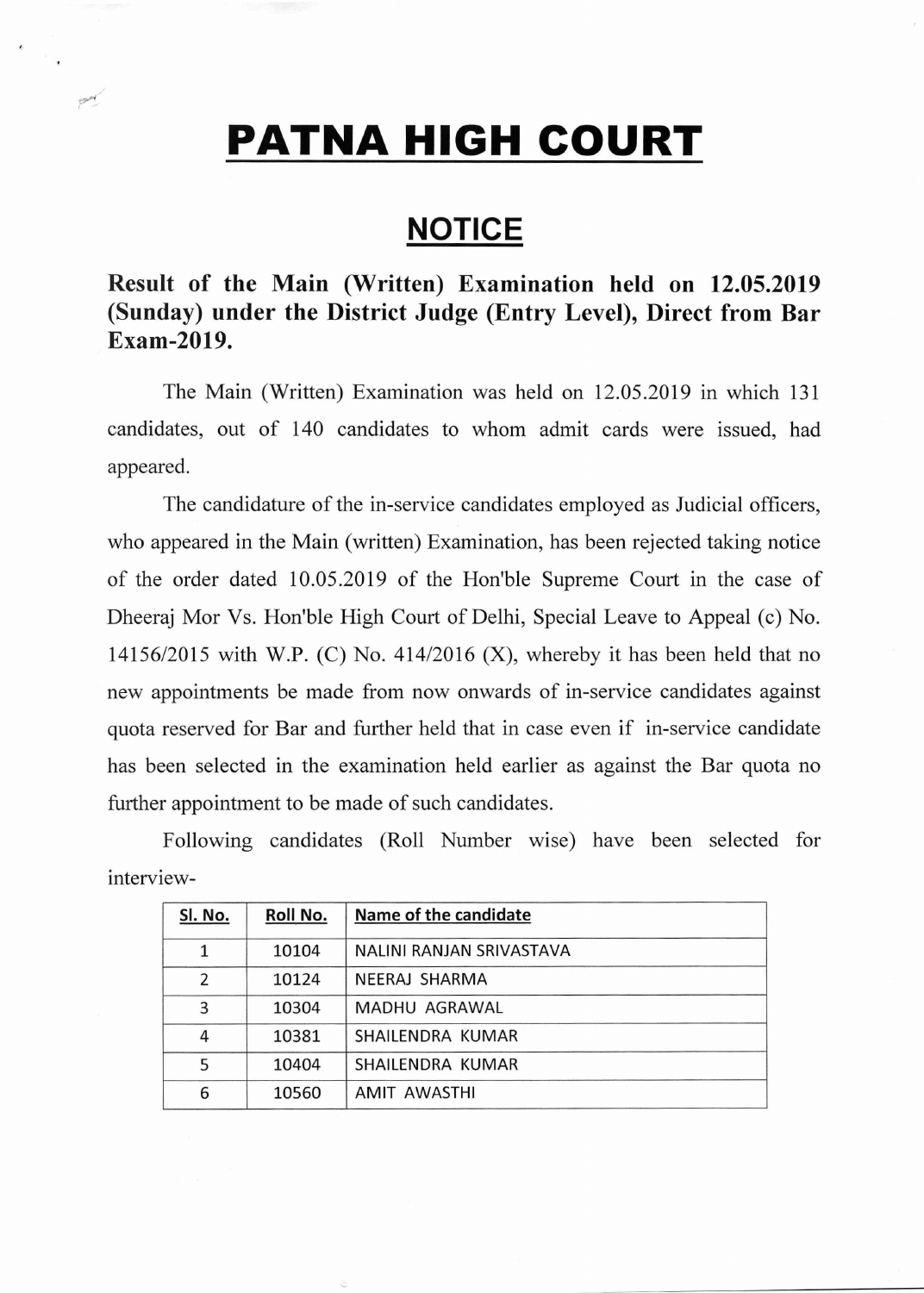## **PATNA HIGH COURT**

 $P^{\mathcal{A}}$ 

## **NOTICE**

## **Result of the Main (Written) Examination held on 12.05.2019 (Sunday) under the District Judge (Entry Level), Direct from Bar Exam-2019.**

The Main (Written) Examination was held on 12.05.2019 in which 131 candidates, out of 140 candidates to whom admit cards were issued, had appeared.

The candidature of the in-service candidates employed as Judicial officers, who appeared in the Main (written) Examination, has been rejected taking notice of the order dated 10.05.2019 of the Hon'ble Supreme Court in the case of Dheeraj Mor Vs. Hon'ble High Court of Delhi, Special Leave to Appeal (c) No. 14156/2015 with W.P. (C) No. 414/2016 (X), whereby it has been held that no new appointments be made from now onwards of in-service candidates against quota reserved for Bar and further held that in case even if in-service candidate has been selected in the examination held earlier as against the Bar quota no further appointment to be made of such candidates.

| Sl. No.       | Roll No. | Name of the candidate    |
|---------------|----------|--------------------------|
| 1             | 10104    | NALINI RANJAN SRIVASTAVA |
| $\mathcal{P}$ | 10124    | NEERAJ SHARMA            |
| 3             | 10304    | MADHU AGRAWAL            |
| 4             | 10381    | SHAILENDRA KUMAR         |
| 5             | 10404    | SHAILENDRA KUMAR         |
| 6             | 10560    | AMIT AWASTHI             |

Following candidates (Roll Number wise) have been selected for interview-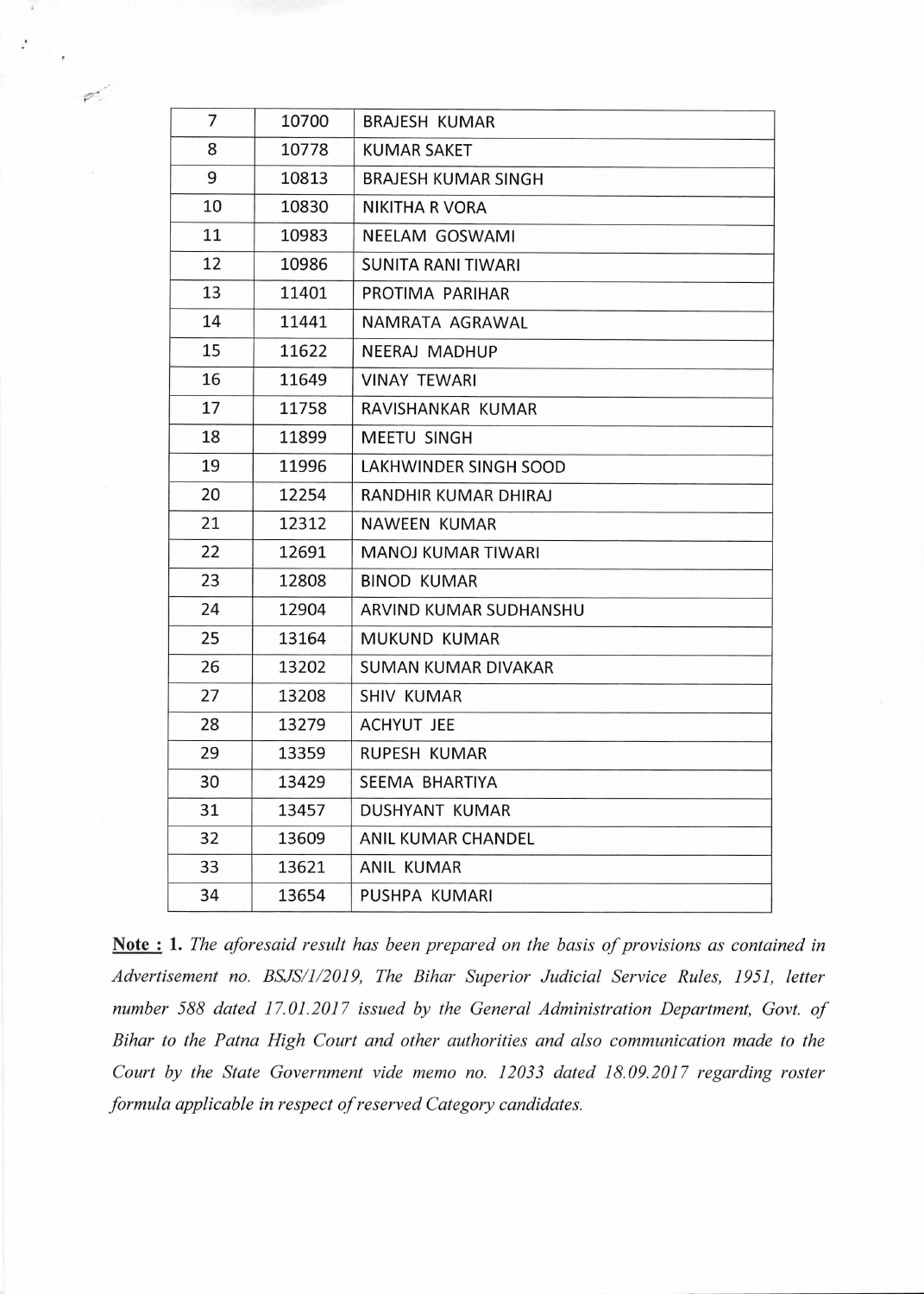| 7<br>10700<br><b>BRAJESH KUMAR</b><br>8<br>10778<br><b>KUMAR SAKET</b><br>9<br>10813<br><b>BRAJESH KUMAR SINGH</b><br>10<br>10830<br>NIKITHA R VORA<br>11<br>10983<br>NEELAM GOSWAMI<br>12<br>10986<br><b>SUNITA RANI TIWARI</b><br>13<br>11401<br>PROTIMA PARIHAR<br>14<br>11441<br>NAMRATA AGRAWAL<br>15<br>11622<br><b>NEERAJ MADHUP</b><br>16<br>11649<br><b>VINAY TEWARI</b><br>17<br>11758<br>RAVISHANKAR KUMAR<br>18<br>11899<br><b>MEETU SINGH</b><br>19<br>11996<br>LAKHWINDER SINGH SOOD<br>20<br>12254<br>RANDHIR KUMAR DHIRAJ<br>21<br>12312<br><b>NAWEEN KUMAR</b><br>22<br>12691<br>MANOJ KUMAR TIWARI<br>23<br>12808<br><b>BINOD KUMAR</b><br>24<br>12904<br>ARVIND KUMAR SUDHANSHU<br>25<br>13164<br><b>MUKUND KUMAR</b><br>26<br>13202<br><b>SUMAN KUMAR DIVAKAR</b><br>27<br>13208<br><b>SHIV KUMAR</b><br>28<br>13279<br><b>ACHYUT JEE</b><br>29<br>13359<br>RUPESH KUMAR<br>30<br>13429<br>SEEMA BHARTIYA<br>31<br>13457<br>DUSHYANT KUMAR<br>32<br>13609<br>ANIL KUMAR CHANDEL<br>33<br>13621<br><b>ANIL KUMAR</b><br>34<br>13654<br>PUSHPA KUMARI |  |  |
|-------------------------------------------------------------------------------------------------------------------------------------------------------------------------------------------------------------------------------------------------------------------------------------------------------------------------------------------------------------------------------------------------------------------------------------------------------------------------------------------------------------------------------------------------------------------------------------------------------------------------------------------------------------------------------------------------------------------------------------------------------------------------------------------------------------------------------------------------------------------------------------------------------------------------------------------------------------------------------------------------------------------------------------------------------------------------|--|--|
|                                                                                                                                                                                                                                                                                                                                                                                                                                                                                                                                                                                                                                                                                                                                                                                                                                                                                                                                                                                                                                                                         |  |  |
|                                                                                                                                                                                                                                                                                                                                                                                                                                                                                                                                                                                                                                                                                                                                                                                                                                                                                                                                                                                                                                                                         |  |  |
|                                                                                                                                                                                                                                                                                                                                                                                                                                                                                                                                                                                                                                                                                                                                                                                                                                                                                                                                                                                                                                                                         |  |  |
|                                                                                                                                                                                                                                                                                                                                                                                                                                                                                                                                                                                                                                                                                                                                                                                                                                                                                                                                                                                                                                                                         |  |  |
|                                                                                                                                                                                                                                                                                                                                                                                                                                                                                                                                                                                                                                                                                                                                                                                                                                                                                                                                                                                                                                                                         |  |  |
|                                                                                                                                                                                                                                                                                                                                                                                                                                                                                                                                                                                                                                                                                                                                                                                                                                                                                                                                                                                                                                                                         |  |  |
|                                                                                                                                                                                                                                                                                                                                                                                                                                                                                                                                                                                                                                                                                                                                                                                                                                                                                                                                                                                                                                                                         |  |  |
|                                                                                                                                                                                                                                                                                                                                                                                                                                                                                                                                                                                                                                                                                                                                                                                                                                                                                                                                                                                                                                                                         |  |  |
|                                                                                                                                                                                                                                                                                                                                                                                                                                                                                                                                                                                                                                                                                                                                                                                                                                                                                                                                                                                                                                                                         |  |  |
|                                                                                                                                                                                                                                                                                                                                                                                                                                                                                                                                                                                                                                                                                                                                                                                                                                                                                                                                                                                                                                                                         |  |  |
|                                                                                                                                                                                                                                                                                                                                                                                                                                                                                                                                                                                                                                                                                                                                                                                                                                                                                                                                                                                                                                                                         |  |  |
|                                                                                                                                                                                                                                                                                                                                                                                                                                                                                                                                                                                                                                                                                                                                                                                                                                                                                                                                                                                                                                                                         |  |  |
|                                                                                                                                                                                                                                                                                                                                                                                                                                                                                                                                                                                                                                                                                                                                                                                                                                                                                                                                                                                                                                                                         |  |  |
|                                                                                                                                                                                                                                                                                                                                                                                                                                                                                                                                                                                                                                                                                                                                                                                                                                                                                                                                                                                                                                                                         |  |  |
|                                                                                                                                                                                                                                                                                                                                                                                                                                                                                                                                                                                                                                                                                                                                                                                                                                                                                                                                                                                                                                                                         |  |  |
|                                                                                                                                                                                                                                                                                                                                                                                                                                                                                                                                                                                                                                                                                                                                                                                                                                                                                                                                                                                                                                                                         |  |  |
|                                                                                                                                                                                                                                                                                                                                                                                                                                                                                                                                                                                                                                                                                                                                                                                                                                                                                                                                                                                                                                                                         |  |  |
|                                                                                                                                                                                                                                                                                                                                                                                                                                                                                                                                                                                                                                                                                                                                                                                                                                                                                                                                                                                                                                                                         |  |  |
|                                                                                                                                                                                                                                                                                                                                                                                                                                                                                                                                                                                                                                                                                                                                                                                                                                                                                                                                                                                                                                                                         |  |  |
|                                                                                                                                                                                                                                                                                                                                                                                                                                                                                                                                                                                                                                                                                                                                                                                                                                                                                                                                                                                                                                                                         |  |  |
|                                                                                                                                                                                                                                                                                                                                                                                                                                                                                                                                                                                                                                                                                                                                                                                                                                                                                                                                                                                                                                                                         |  |  |
|                                                                                                                                                                                                                                                                                                                                                                                                                                                                                                                                                                                                                                                                                                                                                                                                                                                                                                                                                                                                                                                                         |  |  |
|                                                                                                                                                                                                                                                                                                                                                                                                                                                                                                                                                                                                                                                                                                                                                                                                                                                                                                                                                                                                                                                                         |  |  |
|                                                                                                                                                                                                                                                                                                                                                                                                                                                                                                                                                                                                                                                                                                                                                                                                                                                                                                                                                                                                                                                                         |  |  |
|                                                                                                                                                                                                                                                                                                                                                                                                                                                                                                                                                                                                                                                                                                                                                                                                                                                                                                                                                                                                                                                                         |  |  |
|                                                                                                                                                                                                                                                                                                                                                                                                                                                                                                                                                                                                                                                                                                                                                                                                                                                                                                                                                                                                                                                                         |  |  |
|                                                                                                                                                                                                                                                                                                                                                                                                                                                                                                                                                                                                                                                                                                                                                                                                                                                                                                                                                                                                                                                                         |  |  |
|                                                                                                                                                                                                                                                                                                                                                                                                                                                                                                                                                                                                                                                                                                                                                                                                                                                                                                                                                                                                                                                                         |  |  |

ä

 $\mathcal{P}^{\prime}$ 

 $\epsilon^2$ 

Note : 1. *The aforesaid result has been prepared on the basis of provisions as contained in Advertisement no. BSJS/1/2019, The Bihar Superior Judicial Service Rules, 1951, letter number 588 dated 17.01.2017 issued by the General Administration Department, Govt. of Bihar to the Patna High Court and other authorities and also communication made to the Court by the State Government vide memo no. 12033 dated 18.09.2017 regarding roster formula applicable in respect of reserved Category candidates.*